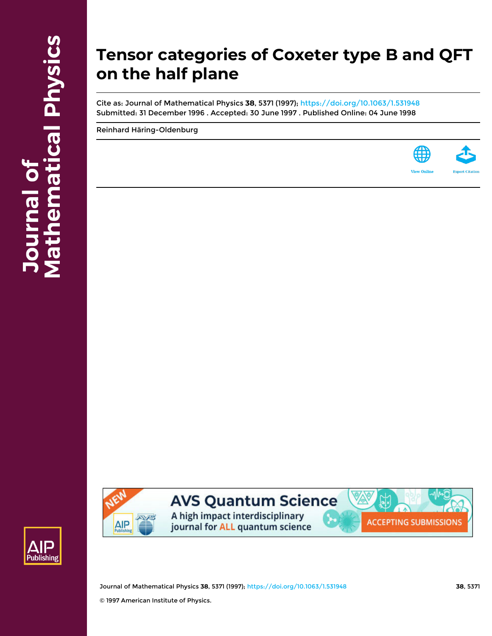# **Tensor categories of Coxeter type B and QFT on the half plane**

Cite as: Journal of Mathematical Physics **38**, 5371 (1997); <https://doi.org/10.1063/1.531948> Submitted: 31 December 1996 . Accepted: 30 June 1997 . Published Online: 04 June 1998

[Reinhard Häring-Oldenburg](https://aip.scitation.org/author/H%C3%A4ring-Oldenburg%2C+Reinhard)







## **AVS Quantum Science**

A high impact interdisciplinary journal for ALL quantum science



Journal of Mathematical Physics **38**, 5371 (1997); <https://doi.org/10.1063/1.531948> **38**, 5371 © 1997 American Institute of Physics.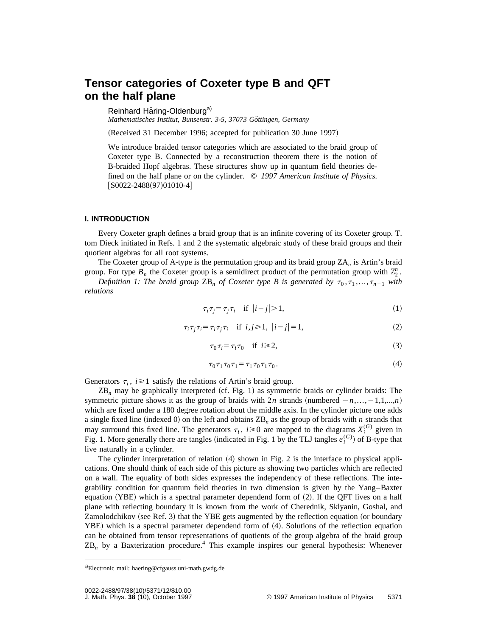### **Tensor categories of Coxeter type B and QFT on the half plane**

Reinhard Häring-Oldenburg<sup>a)</sup>

*Mathematisches Institut, Bunsenstr. 3-5, 37073 Göttingen, Germany* 

(Received 31 December 1996; accepted for publication 30 June 1997)

We introduce braided tensor categories which are associated to the braid group of Coxeter type B. Connected by a reconstruction theorem there is the notion of B-braided Hopf algebras. These structures show up in quantum field theories defined on the half plane or on the cylinder. © *1997 American Institute of Physics.*  $[SO022-2488(97)01010-4]$ 

#### **I. INTRODUCTION**

Every Coxeter graph defines a braid group that is an infinite covering of its Coxeter group. T. tom Dieck initiated in Refs. 1 and 2 the systematic algebraic study of these braid groups and their quotient algebras for all root systems.

The Coxeter group of A-type is the permutation group and its braid group ZA*<sup>n</sup>* is Artin's braid

group. For type  $B_n$  the Coxeter group is a semidirect product of the permutation group with  $\mathbb{Z}_2^n$ . *Definition 1: The braid group*  $\text{ZB}_n$  *of Coxeter type B is generated by*  $\tau_0, \tau_1, \ldots, \tau_{n-1}$  *with relations*

$$
\tau_i \tau_j = \tau_j \tau_i \quad \text{if } |i - j| > 1,\tag{1}
$$

$$
\tau_i \tau_j \tau_i = \tau_i \tau_j \tau_i \quad \text{if } i, j \ge 1, \ |i - j| = 1,\tag{2}
$$

$$
\tau_0 \tau_i = \tau_i \tau_0 \quad \text{if } i \ge 2,
$$
\n<sup>(3)</sup>

$$
\tau_0 \tau_1 \tau_0 \tau_1 = \tau_1 \tau_0 \tau_1 \tau_0. \tag{4}
$$

Generators  $\tau_i$ ,  $i \geq 1$  satisfy the relations of Artin's braid group.

 $ZB_n$  may be graphically interpreted (cf. Fig. 1) as symmetric braids or cylinder braids: The symmetric picture shows it as the group of braids with 2*n* strands (numbered  $-n, \ldots, -1, 1, \ldots, n$ ) which are fixed under a 180 degree rotation about the middle axis. In the cylinder picture one adds a single fixed line (indexed 0) on the left and obtains  $\text{ZB}_n$  as the group of braids with *n* strands that may surround this fixed line. The generators  $\tau_i$ ,  $i \ge 0$  are mapped to the diagrams  $X_i^{(G)}$  given in Fig. 1. More generally there are tangles (indicated in Fig. 1 by the TLJ tangles  $e_i^{(G)}$ ) of B-type that live naturally in a cylinder.

The cylinder interpretation of relation  $(4)$  shown in Fig. 2 is the interface to physical applications. One should think of each side of this picture as showing two particles which are reflected on a wall. The equality of both sides expresses the independency of these reflections. The integrability condition for quantum field theories in two dimension is given by the Yang–Baxter equation  $(YBE)$  which is a spectral parameter dependend form of  $(2)$ . If the QFT lives on a half plane with reflecting boundary it is known from the work of Cherednik, Sklyanin, Goshal, and Zamolodchikov (see Ref. 3) that the YBE gets augmented by the reflection equation (or boundary  $YBE$ ) which is a spectral parameter dependend form of  $(4)$ . Solutions of the reflection equation can be obtained from tensor representations of quotients of the group algebra of the braid group ZB*<sup>n</sup>* by a Baxterization procedure.<sup>4</sup> This example inspires our general hypothesis: Whenever

a)Electronic mail: haering@cfgauss.uni-math.gwdg.de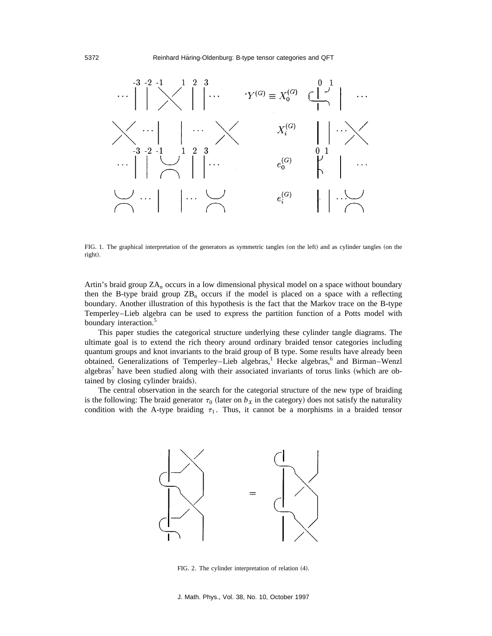

FIG. 1. The graphical interpretation of the generators as symmetric tangles (on the left) and as cylinder tangles (on the right).

Artin's braid group ZA*<sup>n</sup>* occurs in a low dimensional physical model on a space without boundary then the B-type braid group  $\text{ZB}_n$  occurs if the model is placed on a space with a reflecting boundary. Another illustration of this hypothesis is the fact that the Markov trace on the B-type Temperley–Lieb algebra can be used to express the partition function of a Potts model with boundary interaction.<sup>5</sup>

This paper studies the categorical structure underlying these cylinder tangle diagrams. The ultimate goal is to extend the rich theory around ordinary braided tensor categories including quantum groups and knot invariants to the braid group of B type. Some results have already been obtained. Generalizations of Temperley–Lieb algebras,<sup>1</sup> Hecke algebras,<sup>6</sup> and Birman–Wenzl algebras<sup>7</sup> have been studied along with their associated invariants of torus links (which are obtained by closing cylinder braids).

The central observation in the search for the categorial structure of the new type of braiding is the following: The braid generator  $\tau_0$  (later on  $b_X$  in the category) does not satisfy the naturality condition with the A-type braiding  $\tau_1$ . Thus, it cannot be a morphisms in a braided tensor



FIG. 2. The cylinder interpretation of relation  $(4)$ .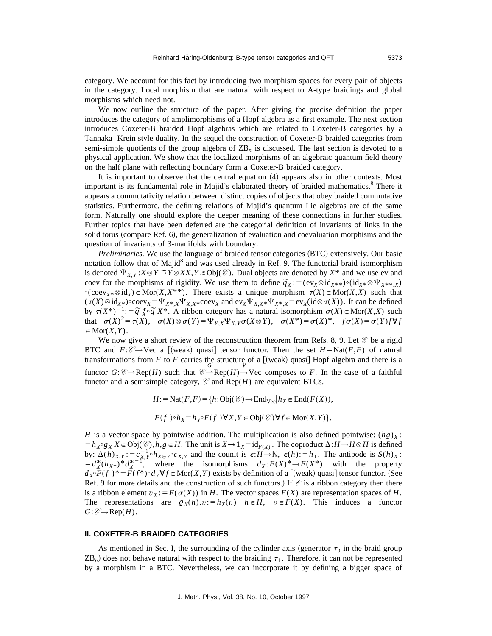category. We account for this fact by introducing two morphism spaces for every pair of objects in the category. Local morphism that are natural with respect to A-type braidings and global morphisms which need not.

We now outline the structure of the paper. After giving the precise definition the paper introduces the category of amplimorphisms of a Hopf algebra as a first example. The next section introduces Coxeter-B braided Hopf algebras which are related to Coxeter-B categories by a Tannaka–Krein style duality. In the sequel the construction of Coxeter-B braided categories from semi-simple quotients of the group algebra of  $\mathbb{Z}B_n$  is discussed. The last section is devoted to a physical application. We show that the localized morphisms of an algebraic quantum field theory on the half plane with reflecting boundary form a Coxeter-B braided category.

It is important to observe that the central equation  $(4)$  appears also in other contexts. Most important is its fundamental role in Majid's elaborated theory of braided mathematics.<sup>8</sup> There it appears a commutativity relation between distinct copies of objects that obey braided commutative statistics. Furthermore, the defining relations of Majid's quantum Lie algebras are of the same form. Naturally one should explore the deeper meaning of these connections in further studies. Further topics that have been deferred are the categorial definition of invariants of links in the solid torus (compare Ref. 6), the generalization of evaluation and coevaluation morphisms and the question of invariants of 3-manifolds with boundary.

*Preliminaries.* We use the language of braided tensor categories (BTC) extensively. Our basic notation follow that of Majid<sup>8</sup> and was used already in Ref. 9. The functorial braid isomorphism is denoted  $\Psi_{X,Y}$ : $X \otimes Y \to Y \otimes XX, Y \geq 0$ bj( $\mathcal{C}$ ). Dual objects are denoted by  $X^*$  and we use ev and coev for the morphisms of rigidity. We use them to define  $\tilde{q}_X$ :  $= (ev_X \otimes id_{X^{**}}) \circ (id_X \otimes \Psi_{X^{**},X})$  coev for the morphisms of rigidity. We use them to define  $\tilde{q}_X$ :  $= (ev_X \otimes id_{X^{**}}) \circ (id_X \otimes \Psi_{X^{**},X})$  $\circ$ (coev<sub>*X*\*</sub>  $\otimes$  id<sub>*X*</sub>)</sub>  $\in$  Mor(*X*,*X*\*\*). There exists a unique morphism  $\tau$ (*X*) $\in$  Mor(*X*,*X*) such that  $(\tau(X) \otimes id_{X^*}) \circ \text{coev}_X = \Psi_{X^*,X} \Psi_{X,X^*} \circ \text{coev}_X$  and  $\text{ev}_X \Psi_{X,X^*} \Psi_{X^*,X} = \text{ev}_X(\text{id} \otimes \tau(X))$ . It can be defined by <sup>t</sup>(*X*\*)<sup>2</sup>1:5*˜ q <sup>X</sup>* \*+*˜ q X*\*. A ribbon category has a natural isomorphism <sup>s</sup>(*X*)PMor(*X*,*X*) such that  $\sigma(X)^2 = \tau(X)$ ,  $\sigma(X) \otimes \sigma(Y) = \Psi_{Y,X} \Psi_{X,Y} \sigma(X \otimes Y)$ ,  $\sigma(X^*) = \sigma(X)^*$ ,  $f \sigma(X) = \sigma(Y) f \forall f$  $\in$  Mor $(X, Y)$ .

We now give a short review of the reconstruction theorem from Refs. 8, 9. Let  $\mathscr C$  be a rigid BTC and  $F: \mathcal{C} \rightarrow \text{Vec}$  a [(weak) quasi] tensor functor. Then the set  $H = \text{Nat}(F, F)$  of natural transformations from  $F$  to  $F$  carries the structure of a  $[$ (weak) quasi $]$  Hopf algebra and there is a functor  $G: \mathcal{C} \to \text{Rep}(H)$  such that  $\mathcal{C} \to \text{Rep}(H) \to \text{Vec}$  composes to *F*. In the case of a faithful functor and a semisimple category,  $\mathcal C$  and Rep(*H*) are equivalent BTCs.

$$
H: = \text{Nat}(F, F) = \{h: \text{Obj}(\mathcal{C}) \to \text{End}_{\text{Vec}}| h_X \in \text{End}(F(X)),
$$
  

$$
F(f) \circ h_X = h_{Y} \circ F(f) \forall X, Y \in \text{Obj}(\mathcal{C}) \forall f \in \text{Mor}(X, Y)\}.
$$

*H* is a vector space by pointwise addition. The multiplication is also defined pointwise:  $(hg)_X$ :  $=h_X \circ g_X X \in Obj(\mathcal{C}), h, g \in H$ . The unit is  $X \mapsto 1_X = id_{F(X)}$ . The coproduct  $\Delta: H \to H \otimes H$  is defined by:  $\Delta(h)_{X,Y} := c_{X,Y}^{-1} \circ h_{X \otimes Y} \circ c_{X,Y}$  and the counit is  $\epsilon: H \to \mathbb{K}$ ,  $\epsilon(h) := h_1$ . The antipode is  $S(h)_X$ :  $= d_X^*(h_{X^*})^* d_X^{*-1}$ , where the isomorphisms  $d_X : F(X)^* \to F(X^*)$  with the property  $d_X \circ F(f^*)^* = F(f^*) \circ d_Y \forall f \in \text{Mor}(X, Y)$  exists by definition of a [(weak) quasi] tensor functor. (See Ref. 9 for more details and the construction of such functors.) If  $\mathcal C$  is a ribbon category then there is a ribbon element  $v<sub>X</sub> := F(\sigma(X))$  in *H*. The vector spaces *F(X)* are representation spaces of *H*. The representations are  $\varrho_X(h).v:=h_X(v)$   $h \in H$ ,  $v \in F(X)$ . This induces a functor  $G: \mathcal{C} \rightarrow \text{Rep}(H)$ .

#### **II. COXETER-B BRAIDED CATEGORIES**

As mentioned in Sec. I, the surrounding of the cylinder axis (generator  $\tau_0$  in the braid group  $ZB_n$ ) does not behave natural with respect to the braiding  $\tau_1$ . Therefore, it can not be represented by a morphism in a BTC. Nevertheless, we can incorporate it by defining a bigger space of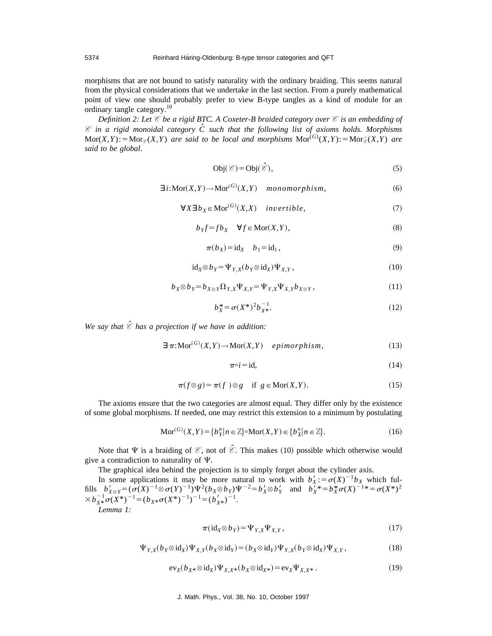morphisms that are not bound to satisfy naturality with the ordinary braiding. This seems natural from the physical considerations that we undertake in the last section. From a purely mathematical point of view one should probably prefer to view B-type tangles as a kind of module for an ordinary tangle category.10

*Definition 2: Let C be a rigid BTC. A Coxeter-B braided category over C is an embedding of C in a rigid monoidal category Cˆ such that the following list of axioms holds. Morphisms*  $Mor(X,Y) := Mor_{\mathscr{E}}(X,Y)$  are said to be local and morphisms  $Mor^{(G)}(X,Y) := Mor_{\mathscr{E}}(X,Y)$  are *said to be global*.

$$
Obj(\mathscr{C}) = Obj(\hat{\mathscr{C}}),\tag{5}
$$

$$
\exists i: \text{Mor}(X, Y) \to \text{Mor}^{(G)}(X, Y) \quad monomorphism,
$$
\n(6)

$$
\forall X \exists b_X \in \text{Mor}^{(G)}(X, X) \quad invertible,
$$
\n<sup>(7)</sup>

$$
b_Y f = f b_X \quad \forall f \in \text{Mor}(X, Y), \tag{8}
$$

$$
\pi(b_X) = id_X \quad b_1 = id_1,\tag{9}
$$

$$
id_X \otimes b_Y = \Psi_{Y,X}(b_Y \otimes id_X)\Psi_{X,Y},
$$
\n(10)

$$
b_X \otimes b_Y = b_{X \otimes Y} \Omega_{Y,X} \Psi_{X,Y} = \Psi_{Y,X} \Psi_{X,Y} b_{X \otimes Y}, \qquad (11)
$$

$$
b_X^* = \sigma(X^*)^2 b_{X^*}^{-1}.
$$
 (12)

*We say that C ˆ has a projection if we have in addition:*

$$
\exists \pi: \text{Mor}^{(G)}(X, Y) \to \text{Mor}(X, Y) \quad \text{epimorphism}, \tag{13}
$$

$$
\pi \circ i = \text{id},\tag{14}
$$

$$
\pi(f \otimes g) = \pi(f) \otimes g \quad \text{if } g \in \text{Mor}(X, Y). \tag{15}
$$

The axioms ensure that the two categories are almost equal. They differ only by the existence of some global morphisms. If needed, one may restrict this extension to a minimum by postulating

$$
\operatorname{Mor}^{(G)}(X,Y) = \{b_{Y}^{n} | n \in \mathbb{Z}\} \circ \operatorname{Mor}(X,Y) \in \{b_{X}^{n} | n \in \mathbb{Z}\}.
$$
 (16)

Note that  $\Psi$  is a braiding of  $\mathcal{C}$ , not of  $\hat{\mathcal{C}}$ . This makes (10) possible which otherwise would give a contradiction to naturality of  $\Psi$ .

The graphical idea behind the projection is to simply forget about the cylinder axis.

In some applications it may be more natural to work with  $b'_X$ : =  $\sigma(X)^{-1}b_X$  which fulfills  $b'_{X \otimes Y} = (\sigma(X)^{-1} \otimes \sigma(Y)^{-1}) \Psi^2 (b_X \otimes b_Y) \Psi^{-2} = b'_X \otimes b'_Y$  and  $b_X^T * = b_X^* \sigma(X)^{-1} = \sigma(X^*)^2$  $\times b_{X*}^{-1}\sigma(X^*)^{-1} = (b_{X*}\sigma(X^*)^{-1})^{-1} = (b'_{X*})^{-1}.$ *Lemma 1:*

$$
\pi(\mathrm{id}_X \otimes b_Y) = \Psi_{Y,X} \Psi_{X,Y},\tag{17}
$$

$$
\Psi_{Y,X}(b_Y \otimes \mathrm{id}_X)\Psi_{X,Y}(b_X \otimes \mathrm{id}_Y) = (b_X \otimes \mathrm{id}_Y)\Psi_{Y,X}(b_Y \otimes \mathrm{id}_X)\Psi_{X,Y},\tag{18}
$$

$$
ev_X(b_{X^*} \otimes id_X)\Psi_{X,X^*}(b_X \otimes id_{X^*}) = ev_X \Psi_{X,X^*}.
$$
\n(19)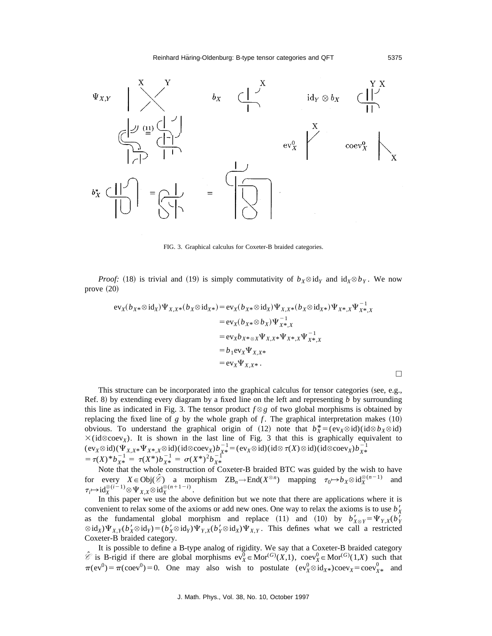

FIG. 3. Graphical calculus for Coxeter-B braided categories.

*Proof:* (18) is trivial and (19) is simply commutativity of  $b_X \otimes id_Y$  and  $id_X \otimes b_Y$ . We now prove  $(20)$ 

$$
ev_X(b_{X^*} \otimes id_X) \Psi_{X,X^*}(b_X \otimes id_{X^*}) = ev_X(b_{X^*} \otimes id_X) \Psi_{X,X^*}(b_X \otimes id_{X^*}) \Psi_{X^*,X} \Psi_{X^*,X}^{-1}
$$
  
\n
$$
= ev_X(b_{X^*} \otimes b_X) \Psi_{X^*,X}^{-1}
$$
  
\n
$$
= ev_Xb_{X^* \otimes X} \Psi_{X,X^*} \Psi_{X^*,X} \Psi_{X^*,X}^{-1}
$$
  
\n
$$
= b_1 ev_X \Psi_{X,X^*}
$$
  
\n
$$
= ev_X \Psi_{X,X^*}.
$$

This structure can be incorporated into the graphical calculus for tensor categories (see, e.g., Ref. 8) by extending every diagram by a fixed line on the left and representing *b* by surrounding this line as indicated in Fig. 3. The tensor product  $f \otimes g$  of two global morphisms is obtained by replacing the fixed line of  $g$  by the whole graph of  $f$ . The graphical interpretation makes  $(10)$ obvious. To understand the graphical origin of (12) note that  $b_X^* = (ev_X \otimes id)(id \otimes b_X \otimes id)$  $\times$ (id $\otimes$ coev<sub>X</sub>). It is shown in the last line of Fig. 3 that this is graphically equivalent to  $(\text{ev}_X \otimes \text{id})(\Psi_{X,X^*} \Psi_{X^*,X} \otimes \text{id})(\text{id} \otimes \text{coev}_X) b_{X^*}^{-1} = (\text{ev}_X \otimes \text{id})(\text{id} \otimes \tau(X) \otimes \text{id})(\text{id} \otimes \text{coev}_X) b_{X^*}^{-1}$  $= \tau(X)^* b_{X^*}^{-1} = \tau(X^*) b_{X^*}^{-1} = \sigma(X^*)^2 b_{X^*}^{-1}$ 

Note that the whole construction of Coxeter-B braided BTC was guided by the wish to have for every  $X \in Obj(\hat{\mathcal{E}})$  a morphism  $\text{ZB}_n \to \text{End}(X^{\otimes n})$  mapping  $\tau_0 \mapsto b_X \otimes id_X^{\otimes (n-1)}$  and  $\tau_i \mapsto id_X^{\otimes (i-1)} \otimes \Psi_{X,X} \otimes id_X^{\otimes (n+1-i)}.$ 

In this paper we use the above definition but we note that there are applications where it is convenient to relax some of the axioms or add new ones. One way to relax the axioms is to use  $b_X^{\prime}$ as the fundamental global morphism and replace (11) and (10) by  $b'_{X \otimes Y} = \Psi_{Y,X} (b'_{Y \otimes Y})$  $\otimes$  id<sub>*X*</sub>) $\Psi_{X,Y}(b'_X \otimes id_Y) = (b'_X \otimes id_Y)\Psi_{Y,X}(b'_Y \otimes id_X)\Psi_{X,Y}$ . This defines what we call a restricted Coxeter-B braided category.

It is possible to define a B-type analog of rigidity. We say that a Coxeter-B braided category  $\hat{\mathcal{C}}$  is B-rigid if there are global morphisms  $ev_X^0 \in \text{Mor}^{(G)}(X,1)$ ,  $coev_X^0 \in \text{Mor}^{(G)}(1,X)$  such that  $\pi(\text{ev}^0) = \pi(\text{coev}^0) = 0$ . One may also wish to postulate  $(\text{ev}_X^0 \otimes \text{id}_{X^*})\text{coev}_X = \text{coev}_{X^*}^0$  and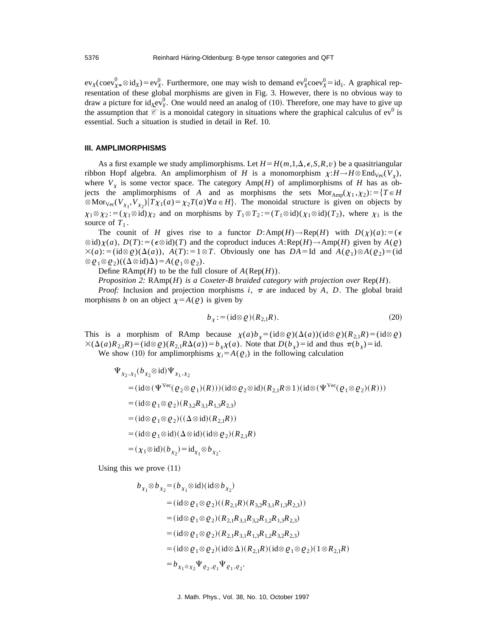$ev_X(\text{coev}_{X^*}^0 \otimes \text{id}_X) = ev_X^0$ . Furthermore, one may wish to demand  $ev_X^0 \text{coev}_X^0 = \text{id}_1$ . A graphical representation of these global morphisms are given in Fig. 3. However, there is no obvious way to draw a picture for id<sub>*X*</sub>ev<sup>0</sup><sub>*Y*</sub>. One would need an analog of (10). Therefore, one may have to give up the assumption that  $\hat{\mathscr{C}}$  is a monoidal category in situations where the graphical calculus of  $ev^0$  is essential. Such a situation is studied in detail in Ref. 10.

#### **III. AMPLIMORPHISMS**

As a first example we study amplimorphisms. Let  $H = H(m,1,\Delta,\epsilon,S,R,v)$  be a quasitriangular ribbon Hopf algebra. An amplimorphism of *H* is a monomorphism  $\chi : H \to H \otimes \text{End}_{\text{Vec}}(V_{\nu})$ , where  $V<sub>x</sub>$  is some vector space. The category Amp(*H*) of amplimorphisms of *H* has as objects the amplimorphisms of *A* and as morphisms the sets  $Mor_{Amp}(\chi_1, \chi_2):=\{T \in H$  $\otimes$  Mor<sub>Vec</sub>(*V*<sub>x<sub>1</sub></sub>, *V*<sub>x<sub>2</sub></sub>)|*T*<sub>X1</sub>(*a*) =  $\chi_2 T(a) \forall a \in H$ }. The monoidal structure is given on objects by  $\chi_1 \otimes \chi_2 := (\chi_1 \otimes id)\chi_2$  and on morphisms by  $T_1 \otimes T_2 := (T_1 \otimes id)(\chi_1 \otimes id)(T_2)$ , where  $\chi_1$  is the source of  $T_1$ .

The counit of *H* gives rise to a functor  $D: \text{Amp}(H) \to \text{Rep}(H)$  with  $D(\chi)(a):=(\epsilon$  $\otimes$  id) $\chi$ (*a*), *D*(*T*):  $= (\epsilon \otimes id)(T)$  and the coproduct induces *A*:Rep(*H*) $\rightarrow$ Amp(*H*) given by *A*( $\varnothing$ )  $\times (a) := (\text{id} \otimes \varrho)(\Delta(a)),$   $A(T) := 1 \otimes T$ . Obviously one has  $DA = \text{Id}$  and  $A(\varrho_1) \otimes A(\varrho_2) = (\text{id} \otimes \varrho_1)$  $\otimes \varrho_1 \otimes \varrho_2)((\Delta \otimes id)\Delta) = A(\varrho_1 \otimes \varrho_2).$ 

Define  $\text{RAmp}(H)$  to be the full closure of  $A(\text{Rep}(H))$ .

*Proposition 2:*  $\text{RAmp}(H)$  *is a Coxeter-B braided category with projection over*  $\text{Rep}(H)$ *.* 

*Proof:* Inclusion and projection morphisms *i*,  $\pi$  are induced by *A*, *D*. The global braid morphisms *b* on an object  $\chi = A(\varrho)$  is given by

$$
b_{\chi} := (\mathrm{id} \otimes \varrho)(R_{2,1}R). \tag{20}
$$

This is a morphism of RAmp because  $\chi(a)b_\chi = (id \otimes \varrho)(\Delta(a))(id \otimes \varrho)(R_{2,1}R) = (id \otimes \varrho)$  $\chi(\Delta(a)R_{2,1}R) = (\mathrm{id} \otimes \varrho)(R_{2,1}R\Delta(a)) = b_{\chi}\chi(a)$ . Note that  $D(b_{\chi}) = \mathrm{id}$  and thus  $\pi(b_{\chi}) = \mathrm{id}$ . We show (10) for amplimorphisms  $\chi_i = A(\varrho_i)$  in the following calculation

$$
\Psi_{\chi_2,\chi_1}(b_{\chi_2}\otimes \mathrm{id})\Psi_{\chi_1,\chi_2}
$$
\n
$$
= (\mathrm{id}\otimes(\Psi^{\mathrm{Vec}}(\varrho_2\otimes\varrho_1)(R)))(\mathrm{id}\otimes\varrho_2\otimes \mathrm{id})(R_{2,1}R\otimes 1)(\mathrm{id}\otimes(\Psi^{\mathrm{Vec}}(\varrho_1\otimes\varrho_2)(R)))
$$
\n
$$
= (\mathrm{id}\otimes\varrho_1\otimes\varrho_2)(R_{3,2}R_{3,1}R_{1,3}R_{2,3})
$$
\n
$$
= (\mathrm{id}\otimes\varrho_1\otimes\varrho_2)((\Delta\otimes \mathrm{id})(R_{2,1}R))
$$
\n
$$
= (\mathrm{id}\otimes\varrho_1\otimes \mathrm{id})(\Delta\otimes \mathrm{id})(\mathrm{id}\otimes\varrho_2)(R_{2,1}R)
$$
\n
$$
= (\chi_1\otimes \mathrm{id})(b_{\chi_2}) = \mathrm{id}_{\chi_1}\otimes b_{\chi_2}.
$$

Using this we prove  $(11)$ 

$$
b_{\chi_1} \otimes b_{\chi_2} = (b_{\chi_1} \otimes id)(id \otimes b_{\chi_2})
$$
  
\n
$$
= (id \otimes \varrho_1 \otimes \varrho_2)((R_{2,1}R)(R_{3,2}R_{3,1}R_{1,3}R_{2,3}))
$$
  
\n
$$
= (id \otimes \varrho_1 \otimes \varrho_2)(R_{2,1}R_{3,1}R_{3,2}R_{1,2}R_{1,3}R_{2,3})
$$
  
\n
$$
= (id \otimes \varrho_1 \otimes \varrho_2)(R_{2,1}R_{3,1}R_{1,3}R_{1,2}R_{3,2}R_{2,3})
$$
  
\n
$$
= (id \otimes \varrho_1 \otimes \varrho_2)(id \otimes \Delta)(R_{2,1}R)(id \otimes \varrho_1 \otimes \varrho_2)(1 \otimes R_{2,1}R)
$$
  
\n
$$
= b_{\chi_1 \otimes \chi_2} \Psi_{\varrho_2, \varrho_1} \Psi_{\varrho_1, \varrho_2}.
$$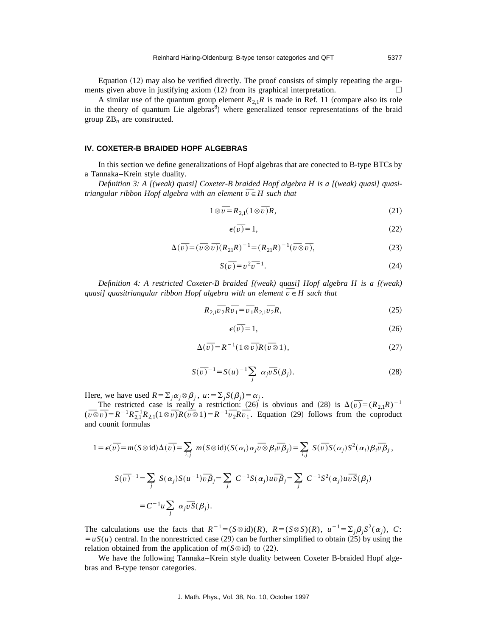Equation  $(12)$  may also be verified directly. The proof consists of simply repeating the arguments given above in justifying axiom  $(12)$  from its graphical interpretation.

A similar use of the quantum group element  $R_{2,1}R$  is made in Ref. 11 (compare also its role in the theory of quantum Lie algebras<sup>8</sup>) where generalized tensor representations of the braid group ZB*<sup>n</sup>* are constructed.

#### **IV. COXETER-B BRAIDED HOPF ALGEBRAS**

In this section we define generalizations of Hopf algebras that are conected to B-type BTCs by a Tannaka–Krein style duality.

*Definition 3: A [(weak) quasi] Coxeter-B braided Hopf algebra H is a [(weak) quasi] quasitriangular ribbon Hopf algebra with an element*  $\overline{v}$  ∈ *H* such that *triangular ribbon Hopf algebra with an element*  $\overline{v}$  ∈ *H* such that

$$
1 \otimes \overline{\nu} = R_{2,1} (1 \otimes \overline{\nu}) R, \tag{21}
$$

$$
\epsilon(\bar{v}) = 1,\tag{22}
$$

$$
\Delta(\overline{v}) = (\overline{v} \otimes \overline{v})(R_{21}R)^{-1} = (R_{21}R)^{-1}(\overline{v} \otimes \overline{v}),
$$
\n(23)

$$
S(\overline{v}) = v^2 \overline{v}^{-1}.
$$
\n(24)

*Definition 4: A restricted Coxeter-B braided [(weak) quasi] Hopf algebra H is a [(weak) Quasiandon 4: A restricted Coxeter-B braided ((weak) quasif Hopf alge*<br>*quasi] quasitriangular ribbon Hopf algebra with an element*  $\overline{v}$  ∈ *H such that* 

$$
R_{2,1}\overline{v}_2R\overline{v}_1 = \overline{v}_1R_{2,1}\overline{v}_2R,\tag{25}
$$

$$
\epsilon(\bar{v}) = 1,\tag{26}
$$

$$
\Delta(\bar{v}) = R^{-1}(1 \otimes \bar{v})R(\bar{v} \otimes 1),\tag{27}
$$

$$
S(\overline{v})^{-1} = S(u)^{-1} \sum_{j} \alpha_{j} \overline{v} S(\beta_{j}).
$$
 (28)

Here, we have used  $R = \sum_i \alpha_i \otimes \beta_i$ ,  $u := \sum_i S(\beta_i) = \alpha_i$ .

Frace restricted case is really a restriction:  $(26)$  is obvious and  $(28)$  is  $\Delta(\bar{v}) = (R_{2,1}R)^{-1}$ <br>The restricted case is really a restriction:  $(26)$  is obvious and  $(28)$  is  $\Delta(\bar{v}) = (R_{2,1}R)^{-1}$ The restricted case is really a restriction: (26) is obvious and (28) is  $\Delta(v) = (R_{2,1}R)^{-1}$ <br> $(\overline{v \otimes v}) = R^{-1}R_{2,1}^{-1}R_{2,1}(1 \otimes \overline{v})R(\overline{v \otimes 1}) = R^{-1}\overline{v}_2R\overline{v}_1$ . Equation (29) follows from the coproduct and counit formulas

$$
1 = \epsilon(\overline{v}) = m(S \otimes id) \Delta(\overline{v}) = \sum_{i,j} m(S \otimes id)(S(\alpha_i) \alpha_j \overline{v} \otimes \beta_i \overline{v} \beta_j) = \sum_{i,j} S(\overline{v}) S(\alpha_j) S^2(\alpha_i) \beta_i \overline{v} \beta_j,
$$
  

$$
S(\overline{v})^{-1} = \sum_j S(\alpha_j) S(u^{-1}) \overline{v} \beta_j = \sum_j C^{-1} S(\alpha_j) u \overline{v} \beta_j = \sum_j C^{-1} S^2(\alpha_j) u \overline{v} S(\beta_j)
$$
  

$$
= C^{-1} u \sum_j \alpha_j \overline{v} S(\beta_j).
$$

The calculations use the facts that  $R^{-1} = (S \otimes id)(R)$ ,  $R = (S \otimes S)(R)$ ,  $u^{-1} = \sum_{i} \beta_i S^2(\alpha_i)$ , *C*:  $= uS(u)$  central. In the nonrestricted case (29) can be further simplified to obtain (25) by using the relation obtained from the application of  $m(S \otimes id)$  to (22).

We have the following Tannaka–Krein style duality between Coxeter B-braided Hopf algebras and B-type tensor categories.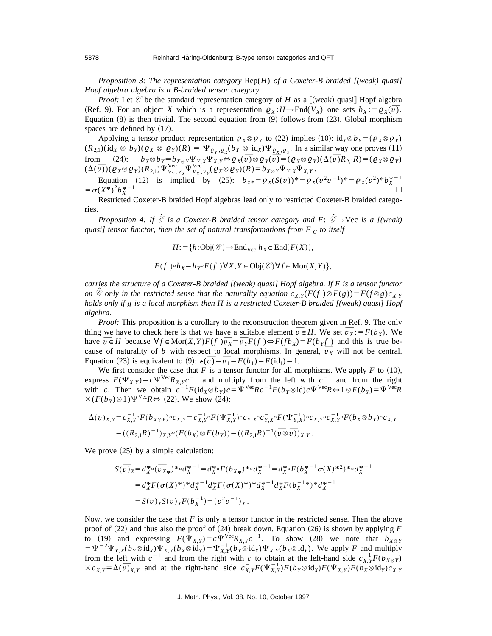*Proposition 3: The representation category* Rep(*H*) *of a Coxeter-B braided [(weak) quasi] Hopf algebra algebra is a B-braided tensor category.*

*Proof:* Let  $\mathcal C$  be the standard representation category of *H* as a [(weak) quasi] Hopf algebra *Proof:* Let  $\mathscr V$  be the standard representation category of *H* as a [(weak) quasi] Hopt algebra (Ref. 9). For an object *X* which is a representation  $\varrho_X : H \to \text{End}(V_X)$  one sets  $b_X := \varrho_X(\overline{v})$ . Equation  $(8)$  is then trivial. The second equation from  $(9)$  follows from  $(23)$ . Global morphism spaces are defined by  $(17)$ .

Applying a tensor product representation  $\varrho_X \otimes \varrho_Y$  to (22) implies (10):  $\mathrm{id}_X \otimes b_Y = (\varrho_X \otimes \varrho_Y)$  $(R_{2,1})(\mathrm{id}_X \otimes b_Y)(\varrho_X \otimes \varrho_Y)(R) = \Psi_{\varrho_Y, \varrho_X}(b_Y \otimes \mathrm{id}_X)\Psi_{\varrho_X, \varrho_Y}$ . In a similar way one proves (11) (A<sub>2,1</sub>)( $\alpha_X \otimes \alpha_Y$ )( $\alpha_X \otimes \alpha_Y$ )( $\alpha_Y \otimes \alpha_Y$ )( $\alpha_Y \otimes \alpha_Y$ ) +  $\alpha_X \otimes \alpha_Y$ ) +  $\alpha_X \otimes \alpha_Y$ . In a similar way one proves (11)<br>from (24):  $b_X \otimes b_Y = b_{X \otimes Y} \Psi_{Y,X} \Psi_{X,Y} \Leftrightarrow \varrho_X(\overline{v}) \otimes \varrho_Y(\overline{v}) = (\varrho_X \otimes \varrho_Y)(\Delta(\overline{v}) R_{2,1} R)$ from (24):  $b_X \otimes b_Y = b_{X \otimes Y} \Psi_{Y,X} \Psi_{X,Y} \Leftrightarrow \varrho_X(v) \otimes \varrho_Y(v) = (\varrho_X \otimes \varrho_Y(v))$ <br>  $(\Delta(\overline{v})) (\varrho_X \otimes \varrho_Y)(R_{2,1}) \Psi_{V_Y, V_X}^{vec} \Psi_{V_X, V_Y}^{vec}( \varrho_X \otimes \varrho_Y)(R) = b_{X \otimes Y} \Psi_{Y,X} \Psi_{X,Y}.$ 

Equation (12) is implied by (25):  $b_{X*} = \rho_X(S(\bar{v}))^* = \rho_X(v^2 \bar{v}^{-1})^* = \rho_X(v^2)^* b_X^{*-1}$  $= \sigma(X^*)^2 b_{Y}^{*-1}$  $x \n\begin{array}{ccc}\n & -1 \\
& \downarrow \\
& \downarrow\n\end{array}$ 

Restricted Coxeter-B braided Hopf algebras lead only to restricted Coxeter-B braided categories.

*Proposition 4: If*  $\hat{\mathscr{C}}$  *is a Coxeter-B braided tensor category and F:*  $\hat{\mathscr{C}} \rightarrow$  Vec *is a [(weak) quasi] tensor functor, then the set of natural transformations from*  $F_{|C}$  *to itself* 

$$
H:={h:\text{Obj}(\mathcal{C})}\to \text{End}_{\text{Vec}}|h_X\in \text{End}(F(X)),
$$

$$
F(f) \circ h_X = h_{Y} \circ F(f) \forall X, Y \in Obj(\mathcal{C}) \forall f \in \text{Mor}(X, Y) \},
$$

*carries the structure of a Coxeter-B braided [(weak) quasi] Hopf algebra. If F is a tensor functor on*  $\hat{\mathscr{E}}$  *only in the restricted sense that the naturality equation*  $c_{X,Y}(F(f \setminus \tilde{\otimes} F(g)) = F(f \otimes g) c_{X,Y}$ *holds only if g is a local morphism then H is a restricted Coxeter-B braided [(weak) quasi] Hopf algebra*.

*Proof:* This proposition is a corollary to the reconstruction theorem given in Ref. 9. The only *thing we have to check here is that we have a suitable element*  $\overline{v} \in H$ *. We set*  $\overline{v}_X := F(b_X)$ *. We set*  $\overline{v}_X := F(b_X)$ *.* thing we have to check here is that we have a suitable element  $v \in H$ . We set  $v_x := F(v_x)$ . We have  $\overline{v} \in H$  because  $\forall f \in \text{Mor}(X, Y)F(f)$   $\overline{v_x} = \overline{v_y}F(f) \Leftrightarrow F(fb_x) = F(b_y f)$  and this is true behave  $v \in H$  because  $\mathbf{v}_f \in \text{Mor}(X, Y)F(f)$   $v_X = v_Y F(f) \Leftrightarrow F(f \circ X) = F(h_Y f)$  and this is true because of naturality of *b* with respect to local morphisms. In general,  $\overline{v}_X$  will not be central. cause or naturality or *b* with respect to local morphisms. In g<br>Equation (23) is equivalent to (9):  $\epsilon(\bar{v}) = \bar{v_1} = F(b_1) = F(\mathrm{id}_1) = 1$ .

We first consider the case that  $F$  is a tensor functor for all morphisms. We apply  $F$  to  $(10)$ , express  $F(\Psi_{X,Y}) = c \Psi^{\text{Vec}} R_{X,Y} c^{-1}$  and multiply from the left with  $c^{-1}$  and from the right with *c*. Then we obtain  $c^{-1}F(\text{id}_X \otimes b_Y)c = \Psi^{\text{Vec}}Rc^{-1}F(b_Y \otimes \text{id})c\Psi^{\text{Vec}}R \Leftrightarrow 1 \otimes F(b_Y) = \Psi^{\text{Vec}}R$  $\times (F(b_y) \otimes 1)\Psi^{\text{Vec}}R \Leftrightarrow (22)$ . We show (24):

$$
\Delta(\bar{v})_{X,Y} = c_{X,Y}^{-1} \circ F(b_{X \otimes Y}) \circ c_{X,Y} = c_{X,Y}^{-1} \circ F(\Psi_{X,Y}^{-1}) \circ c_{Y,X} \circ c_{Y,X}^{-1} \circ F(\Psi_{Y,X}^{-1}) \circ c_{X,Y} \circ c_{X,Y}^{-1} \circ F(b_X \otimes b_Y) \circ c_{X,Y}
$$
  
=  $((R_{2,1}R)^{-1})_{X,Y} \circ (F(b_X) \otimes F(b_Y)) = ((R_{2,1}R)^{-1}(\bar{v} \otimes \bar{v}))_{X,Y}.$ 

We prove  $(25)$  by a simple calculation:

$$
S(\overline{v})_X = d_X^* \circ (\overline{v}_{X*})^* \circ d_X^{*-1} = d_X^* \circ F(b_{X*})^* \circ d_X^{*-1} = d_X^* \circ F(b_X^{*-1} \sigma(X)^{*2})^* \circ d_X^{*-1}
$$
  
=  $d_X^* F(\sigma(X)^*)^* d_X^{*-1} d_X^* F(\sigma(X)^*)^* d_X^{*-1} d_X^* F(b_X^{-1*})^* d_X^{*-1}$   
=  $S(v)_X S(v)_X F(b_X^{-1}) = (v^2 \overline{v}^{-1})_X$ .

Now, we consider the case that *F* is only a tensor functor in the restricted sense. Then the above proof of  $(22)$  and thus also the proof of  $(24)$  break down. Equation  $(26)$  is shown by applying *F* to (19) and expressing  $F(\hat{\Psi}_{X,Y}) = c \Psi^{\text{Vec}} R_{X,Y} c^{-1}$ . To show (28) we note that  $b_{X \otimes Y}$  $=\Psi^{-2}\Psi_{Y,X}(b_Y\otimes \mathrm{id}_X)\Psi_{X,Y}(b_X\otimes \mathrm{id}_Y)=\Psi_{X,Y}^{-1}(b_Y\otimes \mathrm{id}_X)\Psi_{X,Y}(b_X\otimes \mathrm{id}_Y)$ . We apply *F* and multiply from the left with  $c^{-1}$  and from the right with *c* to obtain at the left-hand side  $c_{X,Y}^{-1}F(b_{X\otimes Y})$ from the left with c can be right with c to obtain at the left-hand side  $c_{X,Y}F(b_{X\otimes Y})$ <br> $\times c_{X,Y} = \Delta(\bar{v})_{X,Y}$  and at the right-hand side  $c_{X,Y}^{-1}F(\Psi_{X,Y}^{-1})F(b_{Y}\otimes id_{X})F(\Psi_{X,Y})F(b_{X}\otimes id_{Y})c_{X,Y}$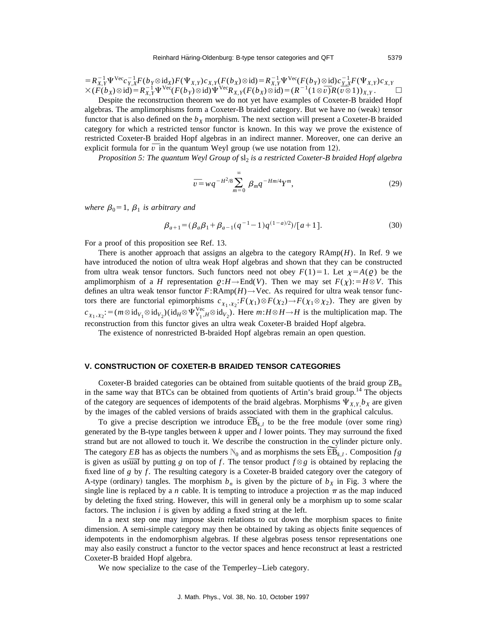$=R_{X,Y}^{-1}\Psi^{\text{Vec}}c_{Y,X}^{-1}F(b_Y\otimes \text{id}_X)F(\Psi_{X,Y})c_{X,Y}(F(b_X)\otimes \text{id})=R_{X,Y}^{-1}\Psi^{\text{Vec}}(F(b_Y)\otimes \text{id})c_{Y,X}^{-1}F(\Psi_{X,Y})c_{X,Y}\ \times (F(b_X)\otimes \text{id})=R_{X,Y}^{-1}\Psi^{\text{Vec}}(F(b_Y)\otimes \text{id})\Psi^{\text{Vec}}R_{X,Y}(F(b_X)\otimes \text{id})=(R^{-1}(1\otimes \overline{\upsilon})R(\overline{\upsilon}\otimes 1))_{X,Y}.$ 

Despite the reconstruction theorem we do not yet have examples of Coxeter-B braided Hopf algebras. The amplimorphisms form a Coxeter-B braided category. But we have no (weak) tensor functor that is also defined on the  $b<sub>X</sub>$  morphism. The next section will present a Coxeter-B braided category for which a restricted tensor functor is known. In this way we prove the existence of restricted Coxeter-B braided Hopf algebras in an indirect manner. Moreover, one can derive an restricted Coxeter-B braided Hopt algebras in an indirect manner. Moreover, explicit formula for  $\overline{v}$  in the quantum Weyl group (we use notation from 12).

*Proposition 5: The quantum Weyl Group of sl<sub>2</sub> is a restricted Coxeter-B braided Hopf algebra* 

$$
\overline{v} = wq^{-H^2/8} \sum_{m=0}^{\infty} \beta_m q^{-Hm/4} Y^m,
$$
\n(29)

*where*  $\beta_0 = 1$ ,  $\beta_1$  *is arbitrary and* 

$$
\beta_{a+1} = (\beta_a \beta_1 + \beta_{a-1} (q^{-1} - 1) q^{(1-a)/2}) / [a+1].
$$
\n(30)

For a proof of this proposition see Ref. 13.

There is another approach that assigns an algebra to the category RAmp(*H*). In Ref. 9 we have introduced the notion of ultra weak Hopf algebras and shown that they can be constructed from ultra weak tensor functors. Such functors need not obey  $F(1)=1$ . Let  $\chi=A(\varrho)$  be the amplimorphism of a *H* representation  $Q: H \to \text{End}(V)$ . Then we may set  $F(\chi):=H \otimes V$ . This defines an ultra weak tensor functor *F*:RAmp(*H*)→Vec. As required for ultra weak tensor functors there are functorial epimorphisms  $c_{\chi_1, \chi_2}: F(\chi_1) \otimes F(\chi_2) \to F(\chi_1 \otimes \chi_2)$ . They are given by  $c_{\chi_1, \chi_2}$ : = ( $m \otimes id_{V_1} \otimes id_{V_2}$ )( $id_H \otimes \Psi_{V_1, H}^{\text{Vec}} \otimes id_{V_2}$ ). Here  $m: H \otimes H \to H$  is the multiplication map. The reconstruction from this functor gives an ultra weak Coxeter-B braided Hopf algebra.

The existence of nonrestricted B-braided Hopf algebras remain an open question.

#### **V. CONSTRUCTION OF COXETER-B BRAIDED TENSOR CATEGORIES**

Coxeter-B braided categories can be obtained from suitable quotients of the braid group ZB*<sup>n</sup>* in the same way that BTCs can be obtained from quotients of Artin's braid group.<sup>14</sup> The objects of the category are sequences of idempotents of the braid algebras. Morphisms  $\Psi_{X,Y}$ ,  $b_X$  are given<br>by the images of the cabled versions of braids associated with them in the graphical calculus.<br>To give a precise descr by the images of the cabled versions of braids associated with them in the graphical calculus.

generated by the B-type tangles between *k* upper and *l* lower points. They may surround the fixed strand but are not allowed to touch it. We describe the construction in the cylinder picture only. generated by the B-type tangles between *k* upper and *l* lower points. They may surround the fixed strand but are not allowed to touch it. We describe the construction in the cylinder picture only.<br>The category *EB* has is given as usual by putting *g* on top of *f*. The tensor product  $f \otimes g$  is obtained by replacing the fixed line of *g* by *f* . The resulting category is a Coxeter-B braided category over the category of A-type (ordinary) tangles. The morphism  $b_n$  is given by the picture of  $b_x$  in Fig. 3 where the single line is replaced by a *n* cable. It is tempting to introduce a projection  $\pi$  as the map induced by deleting the fixed string. However, this will in general only be a morphism up to some scalar factors. The inclusion *i* is given by adding a fixed string at the left.

In a next step one may impose skein relations to cut down the morphism spaces to finite dimension. A semi-simple category may then be obtained by taking as objects finite sequences of idempotents in the endomorphism algebras. If these algebras posess tensor representations one may also easily construct a functor to the vector spaces and hence reconstruct at least a restricted Coxeter-B braided Hopf algebra.

We now specialize to the case of the Temperley–Lieb category.

J. Math. Phys., Vol. 38, No. 10, October 1997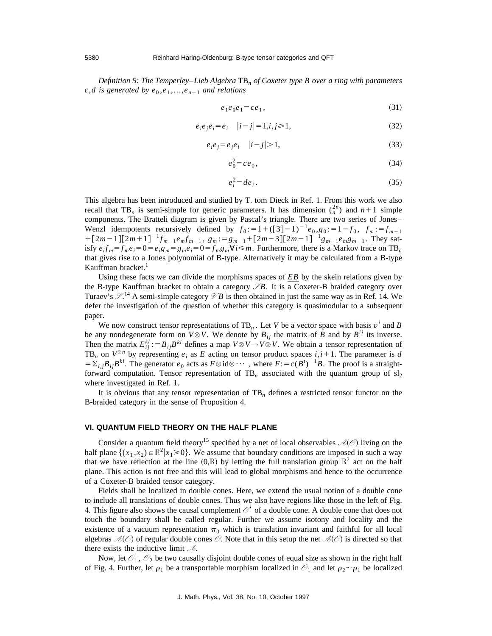*Definition 5: The Temperley*–*Lieb Algebra* TB*<sup>n</sup> of Coxeter type B over a ring with parameters*  $c$ *,d* is generated by  $e_0$ , $e_1$ ,..., $e_{n-1}$  and relations

$$
e_1e_0e_1 = ce_1,\tag{31}
$$

$$
e_i e_j e_i = e_i \t|i-j| = 1, i, j \ge 1,
$$
\n(32)

$$
e_i e_j = e_j e_i \quad |i - j| > 1,\tag{33}
$$

$$
e_0^2 = ce_0,\tag{34}
$$

$$
e_i^2 = de_i. \tag{35}
$$

This algebra has been introduced and studied by T. tom Dieck in Ref. 1. From this work we also recall that TB<sub>n</sub> is semi-simple for generic parameters. It has dimension  $\binom{2n}{n}$  and  $n+1$  simple components. The Bratteli diagram is given by Pascal's triangle. There are two series of Jones– Wenzl idempotents recursively defined by  $f_0 := 1 + (\frac{3}{2} - 1)^{-1}e_0, g_0 := 1 - f_0, f_m := f_{m-1}$  $+[2m-1][2m+1]^{-1}f_{m-1}e_m f_{m-1}, g_m := g_{m-1}+[2m-3][2m-1]^{-1}g_{m-1}e_m g_{m-1}$ . They satisfy  $e_i f_m = f_m e_i = 0 = e_i g_m = g_m e_i = 0 = f_m g_m \forall i \le m$ . Furthermore, there is a Markov trace on TB<sub>n</sub> that gives rise to a Jones polynomial of B-type. Alternatively it may be calculated from a B-type Kauffman bracket.<sup>1</sup>

Using these facts we can divide the morphisms spaces of *EB* by the skein relations given by the B-type Kauffman bracket to obtain a category  $\mathscr{S}B$ . It is a Coxeter-B braided category over Turaev's *S* . <sup>14</sup> A semi-simple category *V B* is then obtained in just the same way as in Ref. 14. We defer the investigation of the question of whether this category is quasimodular to a subsequent paper.

We now construct tensor representations of TB<sub>n</sub>. Let *V* be a vector space with basis  $v^i$  and *B* be any nondegenerate form on  $V \otimes V$ . We denote by  $B_{ij}$  the matrix of *B* and by  $B^{ij}$  its inverse. Then the matrix  $E_{ij}^{kl} := B_{ij}B^{kl}$  defines a map  $V \otimes V \rightarrow V \otimes V$ . We obtain a tensor representation of TB<sub>n</sub> on  $V^{\otimes n}$  by representing  $e_i$  as E acting on tensor product spaces  $i, i+1$ . The parameter is d  $= \sum_{i,j} B_{ij} B^{kl}$ . The generator  $e_0$  acts as  $F \otimes id \otimes \cdots$ , where  $F := c(B^t)^{-1}B$ . The proof is a straightforward computation. Tensor representation of  $TB<sub>n</sub>$  associated with the quantum group of  $sl<sub>2</sub>$ where investigated in Ref. 1.

It is obvious that any tensor representation of TB*<sup>n</sup>* defines a restricted tensor functor on the B-braided category in the sense of Proposition 4.

#### **VI. QUANTUM FIELD THEORY ON THE HALF PLANE**

Consider a quantum field theory<sup>15</sup> specified by a net of local observables  $\mathcal{A}(\mathcal{O})$  living on the half plane  $\{(x_1, x_2) \in \mathbb{R}^2 | x_1 \ge 0\}$ . We assume that boundary conditions are imposed in such a way that we have reflection at the line  $(0,R)$  by letting the full translation group  $\mathbb{R}^2$  act on the half plane. This action is not free and this will lead to global morphisms and hence to the occurrence of a Coxeter-B braided tensor category.

Fields shall be localized in double cones. Here, we extend the usual notion of a double cone to include all translations of double cones. Thus we also have regions like those in the left of Fig. 4. This figure also shows the causal complement  $\mathcal{O}'$  of a double cone. A double cone that does not touch the boundary shall be called regular. Further we assume isotony and locality and the existence of a vacuum representation  $\pi_0$  which is translation invariant and faithful for all local algebras  $\mathcal{A}(\mathcal{O})$  of regular double cones  $\mathcal{O}$ . Note that in this setup the net  $\mathcal{A}(\mathcal{O})$  is directed so that there exists the inductive limit *A*.

Now, let  $\mathcal{O}_1$ ,  $\mathcal{O}_2$  be two causally disjoint double cones of equal size as shown in the right half of Fig. 4. Further, let  $\rho_1$  be a transportable morphism localized in  $\mathcal{O}_1$  and let  $\rho_2 \sim \rho_1$  be localized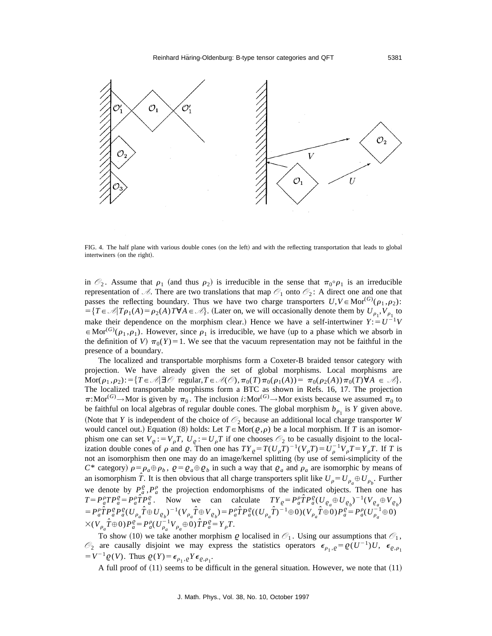

FIG. 4. The half plane with various double cones (on the left) and with the reflecting transportation that leads to global intertwiners (on the right).

in  $\mathcal{O}_2$ . Assume that  $\rho_1$  (and thus  $\rho_2$ ) is irreducible in the sense that  $\pi_0 \circ \rho_1$  is an irreducible representation of  $\mathcal{A}$ . There are two translations that map  $\mathcal{O}_1$  onto  $\mathcal{O}_2$ : A direct one and one that passes the reflecting boundary. Thus we have two charge transporters  $U, V \in \text{Mor}^{(G)}(\rho_1, \rho_2)$ :  $=$ { $T \in \mathcal{A}$ | $T \rho_1(A) = \rho_2(A) T \forall A \in \mathcal{A}$ }. (Later on, we will occasionally denote them by  $U_{\rho_1}, V_{\rho_1}$  to make their dependence on the morphism clear.) Hence we have a self-intertwiner  $Y: = U^{-1}V$  $\in \text{Mor}^{(G)}(\rho_1, \rho_1)$ . However, since  $\rho_1$  is irreducible, we have (up to a phase which we absorb in the definition of *V*)  $\pi_0(Y) = 1$ . We see that the vacuum representation may not be faithful in the presence of a boundary.

The localized and transportable morphisms form a Coxeter-B braided tensor category with projection. We have already given the set of global morphisms. Local morphisms are  $\text{Mor}(\rho_1, \rho_2):=\{T\in \mathcal{A}\}\ \exists \mathcal{O} \ \text{regular}, T\in \mathcal{A}(\mathcal{O}), \pi_0(T)\pi_0(\rho_1(A))=\ \pi_0(\rho_2(A))\pi_0(T)\ \forall A\ \in \mathcal{A}\}.$ The localized transportable morphisms form a BTC as shown in Refs. 16, 17. The projection  $\pi:$ Mor<sup>(*G*)</sup> $\to$ Mor is given by  $\pi_0$ . The inclusion *i*:Mor<sup>(*G*)</sup> $\to$ Mor exists because we assumed  $\pi_0$  to be faithful on local algebras of regular double cones. The global morphism  $b_{\rho_1}$  is *Y* given above. (Note that *Y* is independent of the choice of  $\mathcal{O}_2$  because an additional local charge transporter *W* would cancel out.) Equation (8) holds: Let  $T \in \text{Mor}(\rho, \rho)$  be a local morphism. If *T* is an isomorphism one can set  $V_{\rho}$ : =  $V_{\rho}T$ ,  $U_{\rho}$ : =  $U_{\rho}T$  if one chooses  $\mathcal{O}_2$  to be casually disjoint to the localization double cones of  $\rho$  and  $\varrho$ . Then one has  $TY_{\varrho} = T(U_{\rho}T)^{-1}(V_{\rho}T) = U_{\rho}^{-1}V_{\rho}T = Y_{\rho}T$ . If *T* is not an isomorphism then one may do an image/kernel splitting (by use of semi-simplicity of the *C*\* category)  $\rho = \rho_a \oplus \rho_b$ ,  $Q = Q_a \oplus Q_b$  in such a way that  $Q_a$  and  $\rho_a$  are isomorphic by means of an isomorphism  $\hat{T}$ . It is then obvious that all charge transporters split like  $U_{\rho} = U_{\rho_a} \oplus U_{\rho_b}$ . Further we denote by  $P^{\rho}_{a}$ ,  $P^{\rho}_{a}$  the projection endomorphisms of the indicated objects. Then one has  $T = P_a^{\rho} T P_a^{\rho} = P_a^{\rho} \hat{T} P_a^{\rho}$ . Now we can calculate  $T Y_{\rho} = P_a^{\rho} \hat{T} P_a^{\rho} (U_{\rho_a} \oplus U_{\rho_b})^{-1} (V_{\rho_a} \oplus V_{\rho_b})$  $= P_a^{\rho} \hat{T} P_a^{\rho} P_a^{\rho} (U_{\rho_a} \hat{T} \oplus U_{\rho_b})^{-1} (V_{\rho_a} \hat{T} \oplus V_{\rho_b}) = P_a^{\rho} \hat{T} P_a^{\rho} ((U_{\rho_a} \hat{T})^{-1} \oplus 0) (V_{\rho_a} \hat{T} \oplus 0) P_a^{\rho} = P_a^{\rho} (U_{\rho_a}^{-1} \oplus 0)$  $\times (V_{\rho_a} \hat{T} \oplus 0)P_a^{\varrho} = P_a^{\rho} (U_{\rho_a}^{-1} V_{\rho_a} \oplus 0) \hat{T} P_a^{\varrho} = Y_{\rho} T.$ 

To show (10) we take another morphism  $\varrho$  localised in  $\mathcal{O}_1$ . Using our assumptions that  $\mathcal{O}_1$ ,  $\mathcal{O}_2$  are causally disjoint we may express the statistics operators  $\epsilon_{\rho_1,\rho} = \varrho(U^{-1})U$ ,  $\epsilon_{\varrho,\rho_1}$  $= V^{-1} \varrho(V)$ . Thus  $\varrho(Y) = \epsilon_{\rho_1, \varrho} Y \epsilon_{\varrho, \rho_1}$ .

A full proof of  $(11)$  seems to be difficult in the general situation. However, we note that  $(11)$